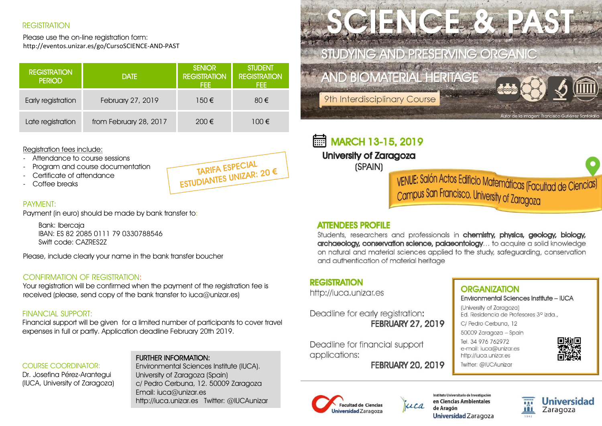### **REGISTRATION**

Please use the on-line registration form: http://eventos.unizar.es/go/CursoSCIENCE-AND-PAST

| <b>REGISTRATION</b><br><b>PERIOD</b> | <b>DATE</b>            | <b>SENIOR</b><br><b>REGISTRATION</b><br>FEE. | <b>STUDENT</b><br><b>REGISTRATION</b><br>FEE. |
|--------------------------------------|------------------------|----------------------------------------------|-----------------------------------------------|
| Early registration                   | February 27, 2019      | 150€                                         | $80 \in$                                      |
| Late registration                    | from February 28, 2017 | 200€                                         | $100 \in$                                     |

Registration fees include:

- Attendance to course sessions
- Program and course documentation
- Certificate of attendance
- Coffee breaks

# TARIFA ESPECIAL TARIFA ESPECIAL<br>ESTUDIANTES UNIZAR: 20 €

#### PAYMENT:

Payment (in euro) should be made by bank transfer to:

Bank: Ibercaja IBAN: ES 82 2085 0111 79 0330788546 Swift code: CAZRES2Z

Please, include clearly your name in the bank transfer boucher

#### CONFIRMATION OF REGISTRATION:

Your registration will be confirmed when the payment of the registration fee is received (please, send copy of the bank transfer to iuca@unizar.es)

#### FINANCIAL SUPPORT:

Financial support will be given for a limited number of participants to cover travel expenses in full or partly. Application deadline February 20th 2019.

#### COURSE COORDINATOR:

Dr. Josefina Pérez-Arantegui (IUCA, University of Zaragoza)

### FURTHER INFORMATION:

Environmental Sciences Institute (IUCA). University of Zaragoza (Spain) c/ Pedro Cerbuna, 12. 50009 Zaragoza Email: iuca@unizar.es http://iuca.unizar.es Twitter: @IUCAunizar

STUDYING AND PRESERVING ORGANIC

# **AND BIOMATERIAL HERITAGE**



Autor de la imagen: Francisco Gutiérrez Santolo

9th Interdisciplinary Course

# **MARCH 13-15, 2019**

**University of Zaragoza** 

(SPAIN)

vENUE: Salón Actos Edificio Matemáticas (Facultad de Ciencias)<br>Campus San Francisco. University of Zaragoza

# **ATTENDEES PROFILE**

Students, researchers and professionals in chemistry, physics, geology, biology, archaeoloay, conservation science, palaeontoloay... to acquire a solid knowledge on natural and material sciences applied to the study, safeguarding, conservation and authentication of material heritage

## **REGISTRATION**

http://iuca.unizar.es

Deadline for early registration: **FEBRUARY 27, 2019** 

Deadline for financial support applications:

**FEBRUARY 20, 2019** 

# **ORGANIZATION**

Environmental Sciences Institute - IUCA

(University of Zaragoza) Ed. Residencia de Profesores 3º izda.

C/ Pedro Cerbuna, 12

50009 Zaragoza - Spain

Tel. 34 976 762972 e-mail: iuca@unizar.es http://iuca.unizar.es Twitter: @IUCAunizar





Instituto Universitario de Investigación en Ciencias Ambientales de Aragón Universidad Zaragoza